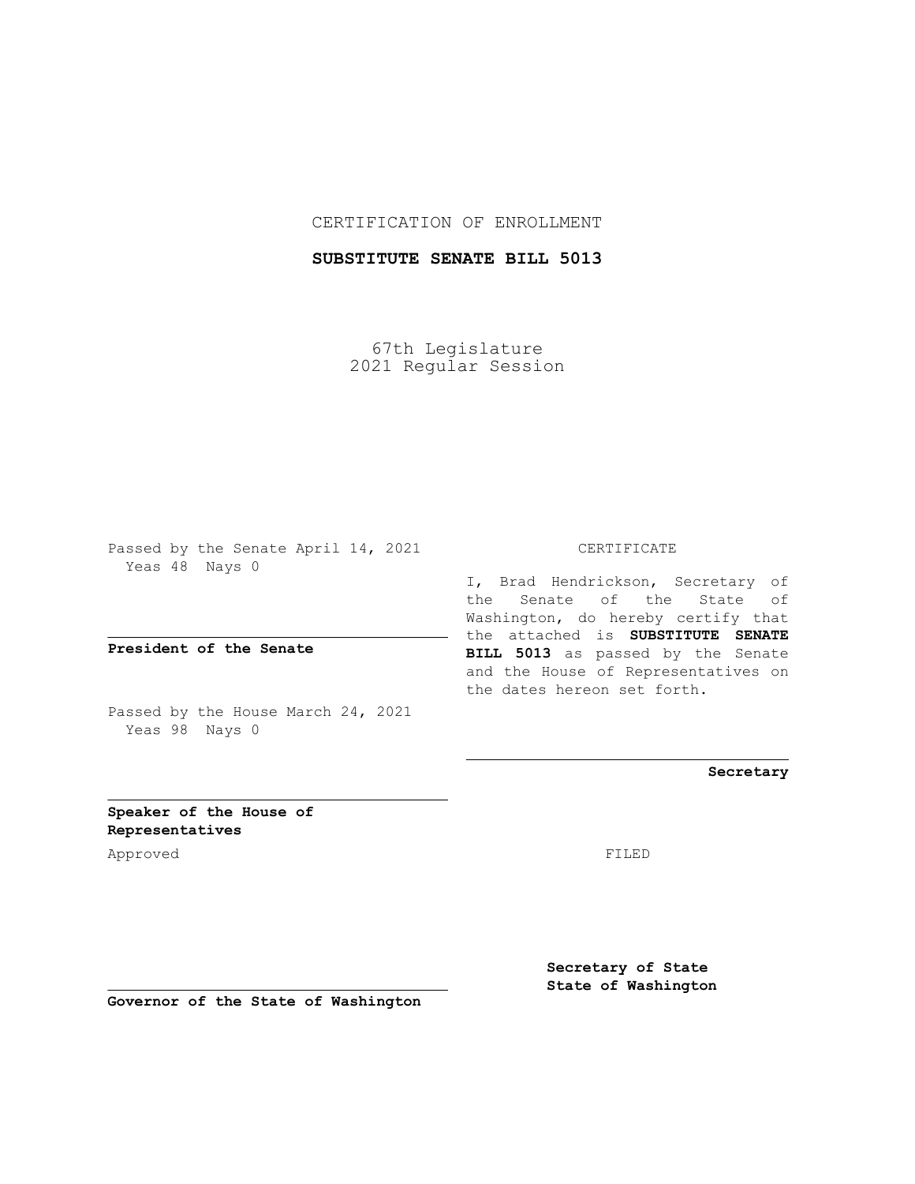## CERTIFICATION OF ENROLLMENT

## **SUBSTITUTE SENATE BILL 5013**

67th Legislature 2021 Regular Session

Passed by the Senate April 14, 2021 Yeas 48 Nays 0

**President of the Senate**

Passed by the House March 24, 2021 Yeas 98 Nays 0

#### CERTIFICATE

I, Brad Hendrickson, Secretary of the Senate of the State of Washington, do hereby certify that the attached is **SUBSTITUTE SENATE BILL 5013** as passed by the Senate and the House of Representatives on the dates hereon set forth.

**Secretary**

**Speaker of the House of Representatives**

Approved FILED

**Secretary of State State of Washington**

**Governor of the State of Washington**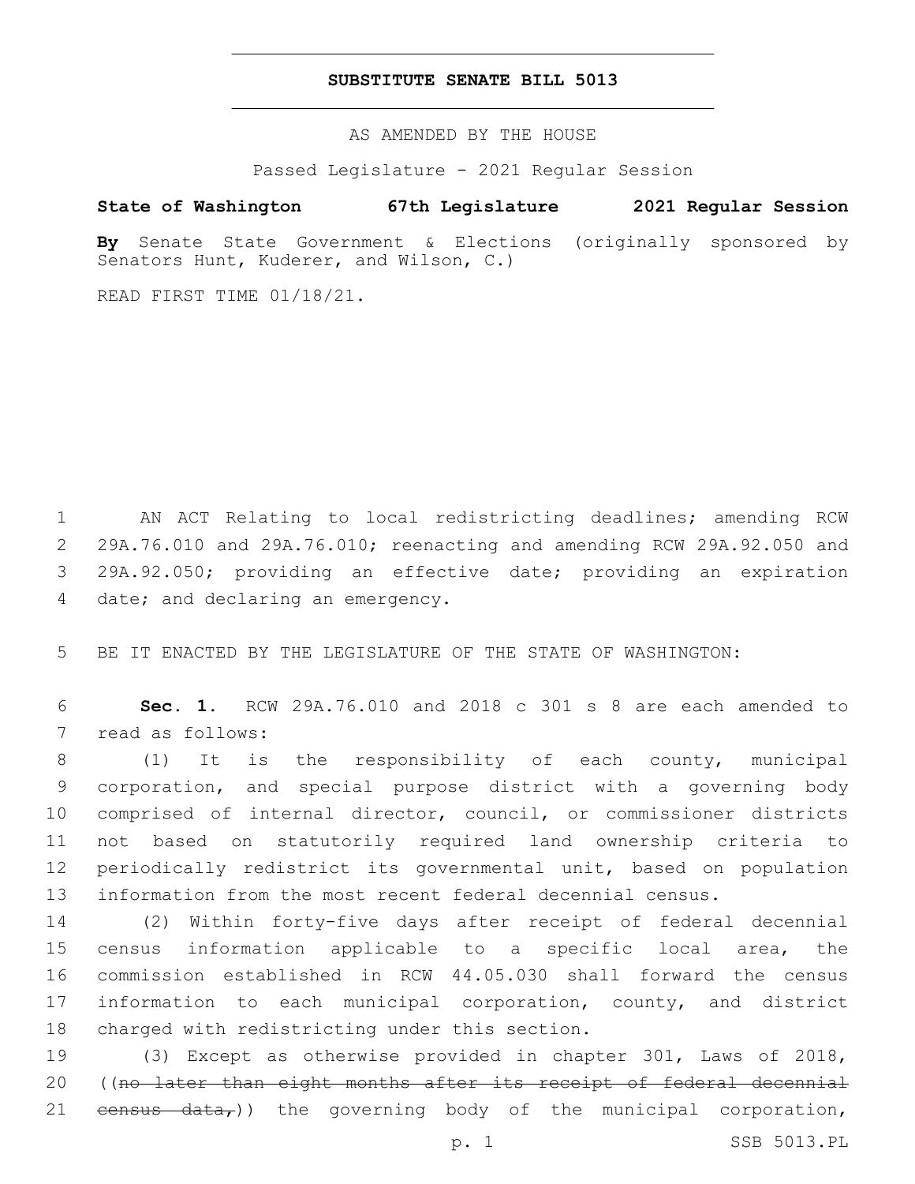### **SUBSTITUTE SENATE BILL 5013**

AS AMENDED BY THE HOUSE

Passed Legislature - 2021 Regular Session

# **State of Washington 67th Legislature 2021 Regular Session**

**By** Senate State Government & Elections (originally sponsored by Senators Hunt, Kuderer, and Wilson, C.)

READ FIRST TIME 01/18/21.

 AN ACT Relating to local redistricting deadlines; amending RCW 29A.76.010 and 29A.76.010; reenacting and amending RCW 29A.92.050 and 29A.92.050; providing an effective date; providing an expiration 4 date; and declaring an emergency.

5 BE IT ENACTED BY THE LEGISLATURE OF THE STATE OF WASHINGTON:

6 **Sec. 1.** RCW 29A.76.010 and 2018 c 301 s 8 are each amended to 7 read as follows:

 (1) It is the responsibility of each county, municipal corporation, and special purpose district with a governing body comprised of internal director, council, or commissioner districts not based on statutorily required land ownership criteria to periodically redistrict its governmental unit, based on population information from the most recent federal decennial census.

 (2) Within forty-five days after receipt of federal decennial census information applicable to a specific local area, the commission established in RCW 44.05.030 shall forward the census information to each municipal corporation, county, and district 18 charged with redistricting under this section.

19 (3) Except as otherwise provided in chapter 301, Laws of 2018, 20 ((no later than eight months after its receipt of federal decennial 21  $eensus - data$ , the governing body of the municipal corporation,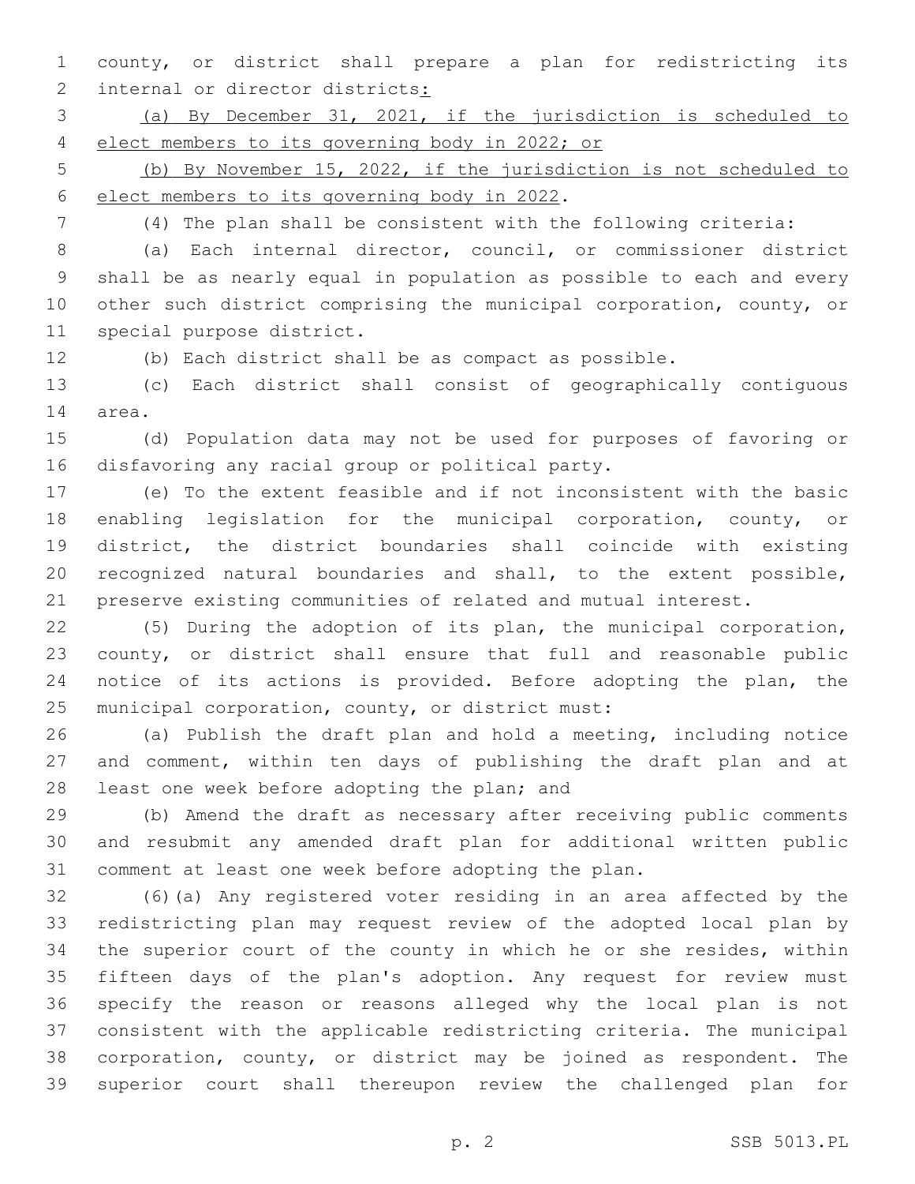county, or district shall prepare a plan for redistricting its 2 internal or director districts:

 (a) By December 31, 2021, if the jurisdiction is scheduled to elect members to its governing body in 2022; or

 (b) By November 15, 2022, if the jurisdiction is not scheduled to 6 elect members to its governing body in 2022.

(4) The plan shall be consistent with the following criteria:

 (a) Each internal director, council, or commissioner district shall be as nearly equal in population as possible to each and every other such district comprising the municipal corporation, county, or 11 special purpose district.

(b) Each district shall be as compact as possible.

 (c) Each district shall consist of geographically contiguous 14 area.

 (d) Population data may not be used for purposes of favoring or 16 disfavoring any racial group or political party.

 (e) To the extent feasible and if not inconsistent with the basic enabling legislation for the municipal corporation, county, or district, the district boundaries shall coincide with existing recognized natural boundaries and shall, to the extent possible, preserve existing communities of related and mutual interest.

 (5) During the adoption of its plan, the municipal corporation, county, or district shall ensure that full and reasonable public notice of its actions is provided. Before adopting the plan, the 25 municipal corporation, county, or district must:

 (a) Publish the draft plan and hold a meeting, including notice and comment, within ten days of publishing the draft plan and at 28 least one week before adopting the plan; and

 (b) Amend the draft as necessary after receiving public comments and resubmit any amended draft plan for additional written public comment at least one week before adopting the plan.

 (6)(a) Any registered voter residing in an area affected by the redistricting plan may request review of the adopted local plan by the superior court of the county in which he or she resides, within fifteen days of the plan's adoption. Any request for review must specify the reason or reasons alleged why the local plan is not consistent with the applicable redistricting criteria. The municipal corporation, county, or district may be joined as respondent. The superior court shall thereupon review the challenged plan for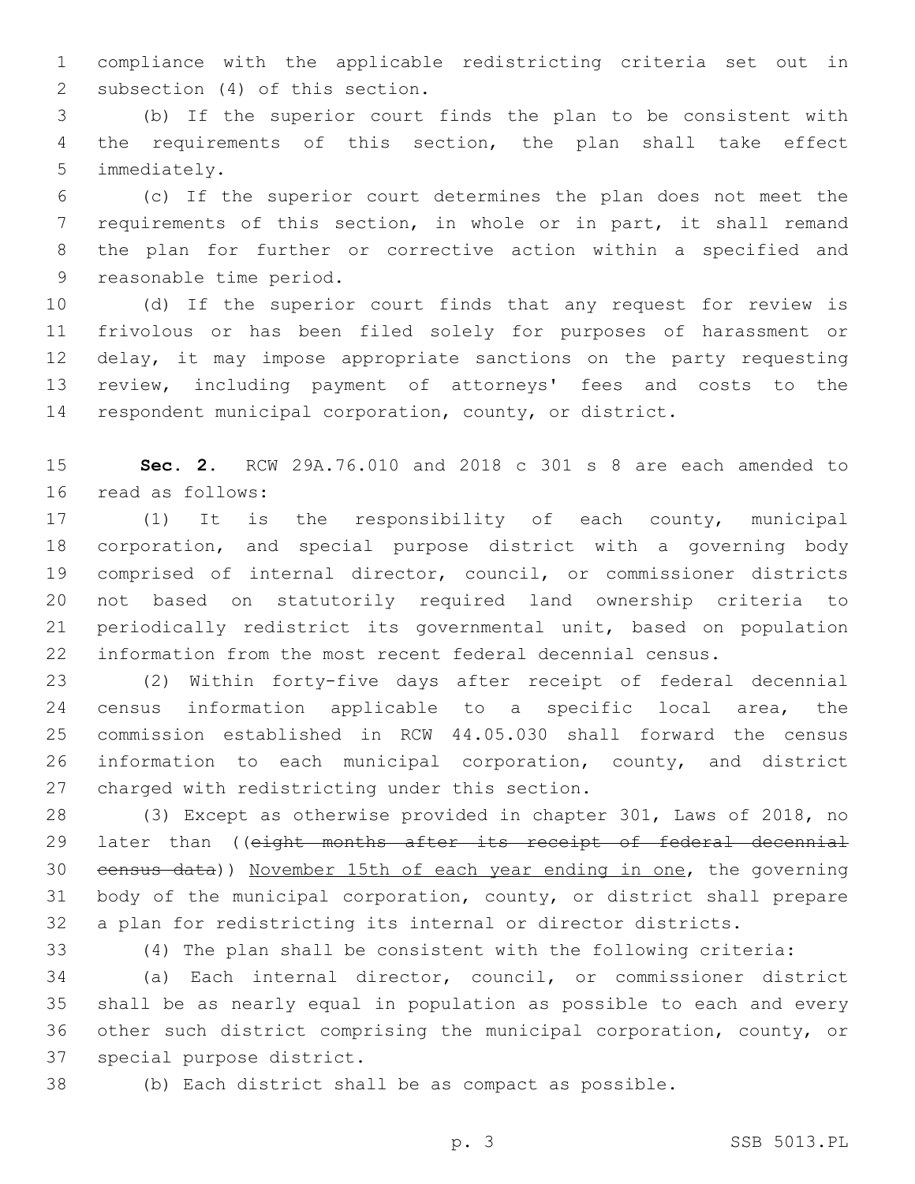compliance with the applicable redistricting criteria set out in 2 subsection (4) of this section.

 (b) If the superior court finds the plan to be consistent with the requirements of this section, the plan shall take effect 5 immediately.

 (c) If the superior court determines the plan does not meet the requirements of this section, in whole or in part, it shall remand the plan for further or corrective action within a specified and 9 reasonable time period.

 (d) If the superior court finds that any request for review is frivolous or has been filed solely for purposes of harassment or 12 delay, it may impose appropriate sanctions on the party requesting review, including payment of attorneys' fees and costs to the respondent municipal corporation, county, or district.

 **Sec. 2.** RCW 29A.76.010 and 2018 c 301 s 8 are each amended to 16 read as follows:

 (1) It is the responsibility of each county, municipal corporation, and special purpose district with a governing body comprised of internal director, council, or commissioner districts not based on statutorily required land ownership criteria to periodically redistrict its governmental unit, based on population information from the most recent federal decennial census.

 (2) Within forty-five days after receipt of federal decennial census information applicable to a specific local area, the commission established in RCW 44.05.030 shall forward the census information to each municipal corporation, county, and district 27 charged with redistricting under this section.

 (3) Except as otherwise provided in chapter 301, Laws of 2018, no 29 later than ((eight months after its receipt of federal decennial census data)) November 15th of each year ending in one, the governing body of the municipal corporation, county, or district shall prepare a plan for redistricting its internal or director districts.

(4) The plan shall be consistent with the following criteria:

 (a) Each internal director, council, or commissioner district shall be as nearly equal in population as possible to each and every other such district comprising the municipal corporation, county, or 37 special purpose district.

(b) Each district shall be as compact as possible.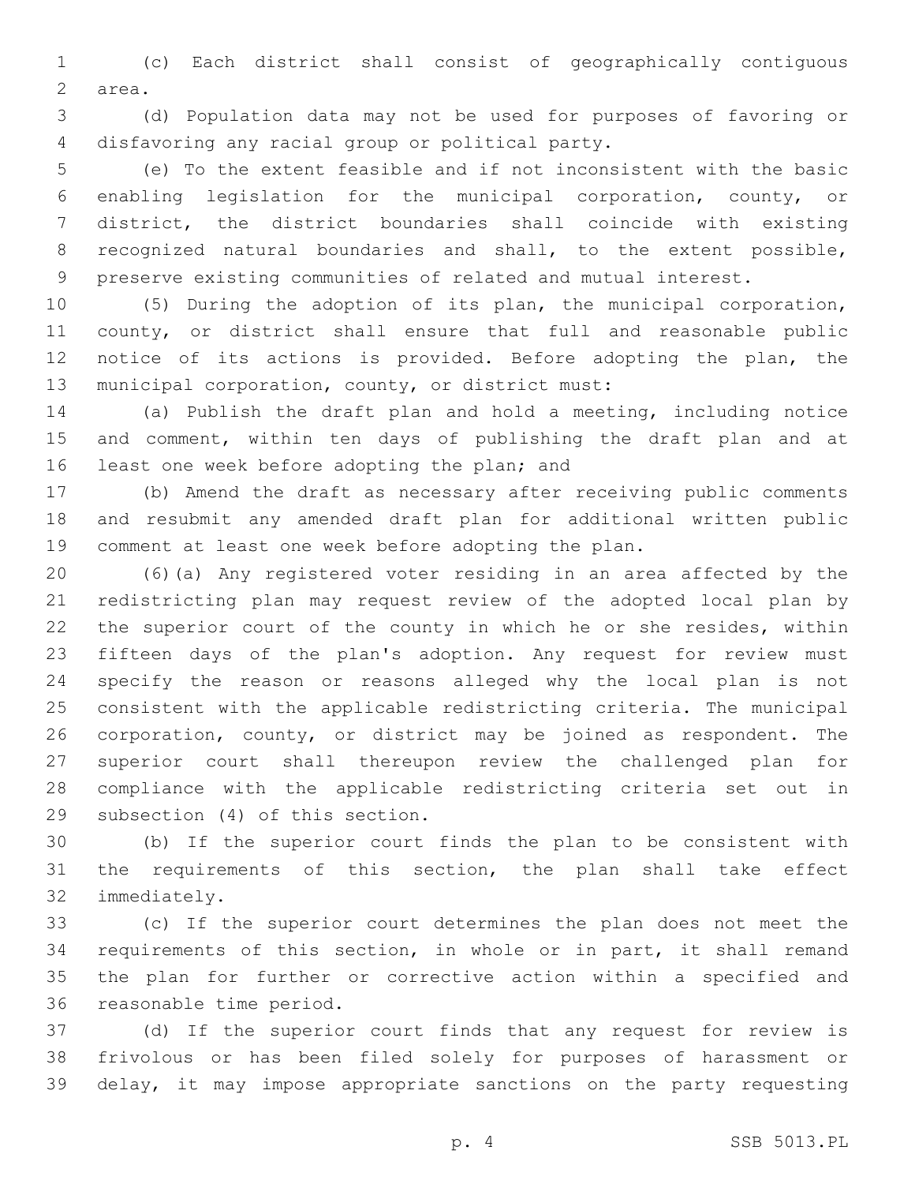(c) Each district shall consist of geographically contiguous 2 area.

 (d) Population data may not be used for purposes of favoring or 4 disfavoring any racial group or political party.

 (e) To the extent feasible and if not inconsistent with the basic enabling legislation for the municipal corporation, county, or district, the district boundaries shall coincide with existing recognized natural boundaries and shall, to the extent possible, preserve existing communities of related and mutual interest.

 (5) During the adoption of its plan, the municipal corporation, county, or district shall ensure that full and reasonable public notice of its actions is provided. Before adopting the plan, the 13 municipal corporation, county, or district must:

 (a) Publish the draft plan and hold a meeting, including notice 15 and comment, within ten days of publishing the draft plan and at 16 least one week before adopting the plan; and

 (b) Amend the draft as necessary after receiving public comments and resubmit any amended draft plan for additional written public comment at least one week before adopting the plan.

 (6)(a) Any registered voter residing in an area affected by the redistricting plan may request review of the adopted local plan by the superior court of the county in which he or she resides, within fifteen days of the plan's adoption. Any request for review must specify the reason or reasons alleged why the local plan is not consistent with the applicable redistricting criteria. The municipal corporation, county, or district may be joined as respondent. The superior court shall thereupon review the challenged plan for compliance with the applicable redistricting criteria set out in 29 subsection (4) of this section.

 (b) If the superior court finds the plan to be consistent with the requirements of this section, the plan shall take effect 32 immediately.

 (c) If the superior court determines the plan does not meet the requirements of this section, in whole or in part, it shall remand the plan for further or corrective action within a specified and 36 reasonable time period.

 (d) If the superior court finds that any request for review is frivolous or has been filed solely for purposes of harassment or delay, it may impose appropriate sanctions on the party requesting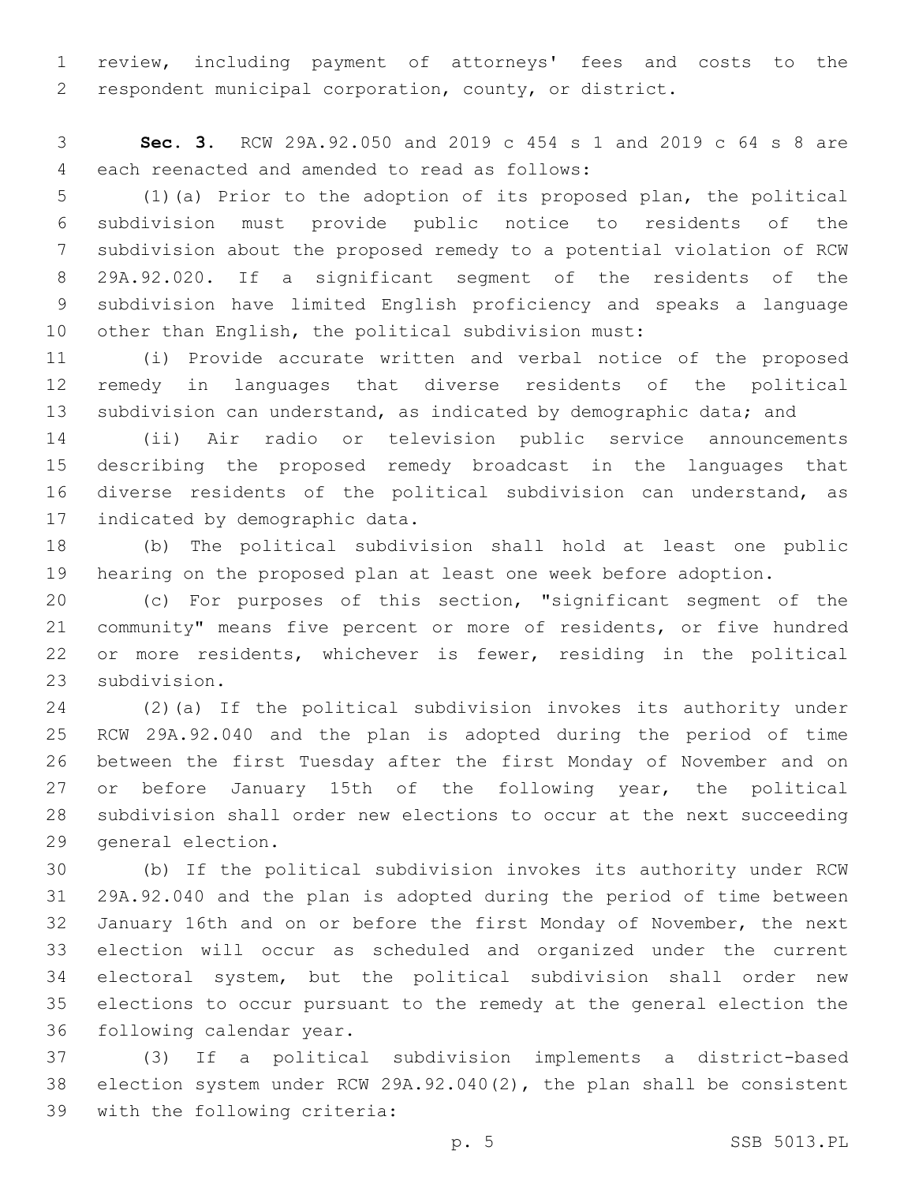review, including payment of attorneys' fees and costs to the respondent municipal corporation, county, or district.

 **Sec. 3.** RCW 29A.92.050 and 2019 c 454 s 1 and 2019 c 64 s 8 are 4 each reenacted and amended to read as follows:

 (1)(a) Prior to the adoption of its proposed plan, the political subdivision must provide public notice to residents of the subdivision about the proposed remedy to a potential violation of RCW 29A.92.020. If a significant segment of the residents of the subdivision have limited English proficiency and speaks a language other than English, the political subdivision must:

 (i) Provide accurate written and verbal notice of the proposed remedy in languages that diverse residents of the political 13 subdivision can understand, as indicated by demographic data; and

 (ii) Air radio or television public service announcements describing the proposed remedy broadcast in the languages that diverse residents of the political subdivision can understand, as 17 indicated by demographic data.

 (b) The political subdivision shall hold at least one public hearing on the proposed plan at least one week before adoption.

 (c) For purposes of this section, "significant segment of the community" means five percent or more of residents, or five hundred or more residents, whichever is fewer, residing in the political 23 subdivision.

 (2)(a) If the political subdivision invokes its authority under RCW 29A.92.040 and the plan is adopted during the period of time between the first Tuesday after the first Monday of November and on 27 or before January 15th of the following year, the political subdivision shall order new elections to occur at the next succeeding 29 general election.

 (b) If the political subdivision invokes its authority under RCW 29A.92.040 and the plan is adopted during the period of time between January 16th and on or before the first Monday of November, the next election will occur as scheduled and organized under the current electoral system, but the political subdivision shall order new elections to occur pursuant to the remedy at the general election the 36 following calendar year.

 (3) If a political subdivision implements a district-based election system under RCW 29A.92.040(2), the plan shall be consistent 39 with the following criteria: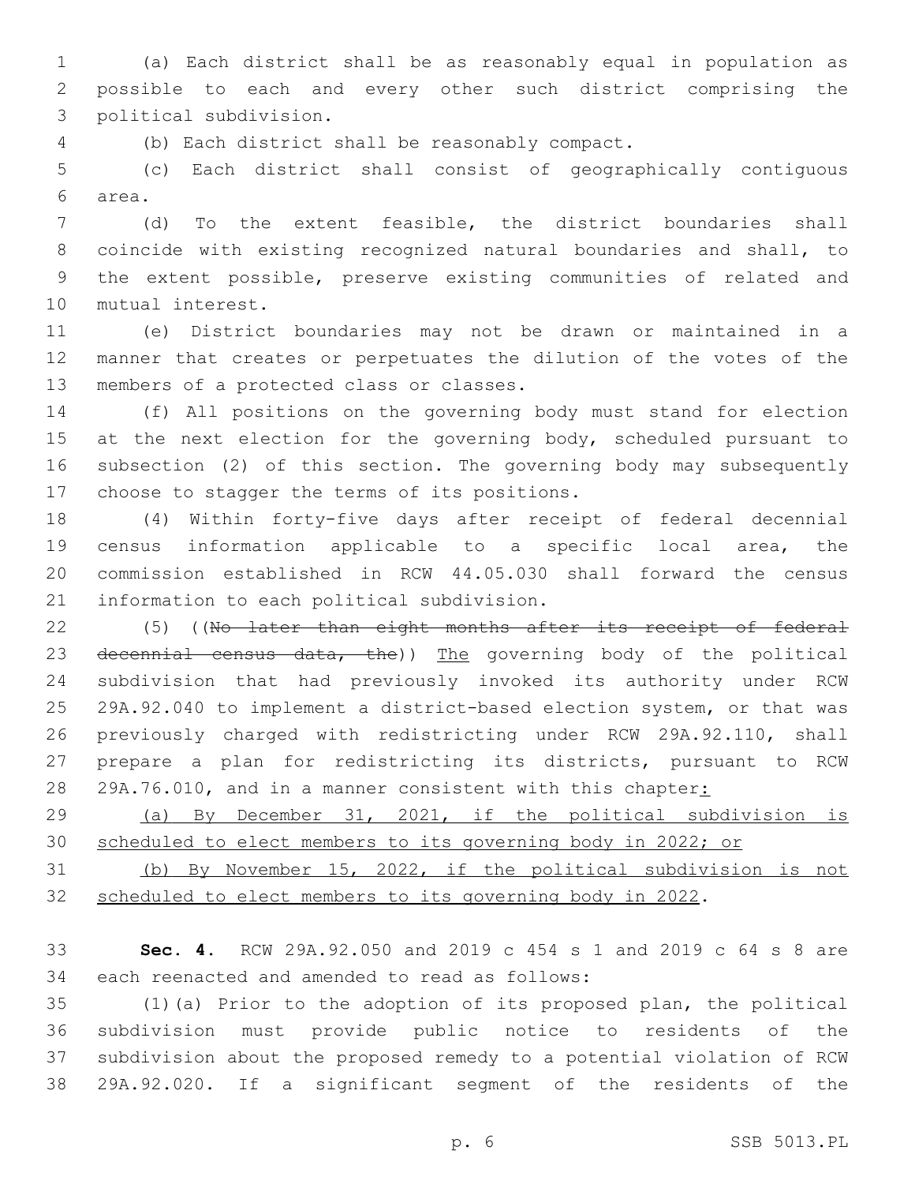(a) Each district shall be as reasonably equal in population as possible to each and every other such district comprising the political subdivision.3

(b) Each district shall be reasonably compact.4

 (c) Each district shall consist of geographically contiguous area.6

 (d) To the extent feasible, the district boundaries shall coincide with existing recognized natural boundaries and shall, to the extent possible, preserve existing communities of related and 10 mutual interest.

 (e) District boundaries may not be drawn or maintained in a manner that creates or perpetuates the dilution of the votes of the 13 members of a protected class or classes.

 (f) All positions on the governing body must stand for election 15 at the next election for the governing body, scheduled pursuant to subsection (2) of this section. The governing body may subsequently 17 choose to stagger the terms of its positions.

 (4) Within forty-five days after receipt of federal decennial census information applicable to a specific local area, the commission established in RCW 44.05.030 shall forward the census 21 information to each political subdivision.

22 (5) ((No later than eight months after its receipt of federal 23 decennial census data, the)) The governing body of the political subdivision that had previously invoked its authority under RCW 29A.92.040 to implement a district-based election system, or that was previously charged with redistricting under RCW 29A.92.110, shall prepare a plan for redistricting its districts, pursuant to RCW 28 29A.76.010, and in a manner consistent with this chapter:

 (a) By December 31, 2021, if the political subdivision is scheduled to elect members to its governing body in 2022; or

 (b) By November 15, 2022, if the political subdivision is not scheduled to elect members to its governing body in 2022.

 **Sec. 4.** RCW 29A.92.050 and 2019 c 454 s 1 and 2019 c 64 s 8 are 34 each reenacted and amended to read as follows:

 (1)(a) Prior to the adoption of its proposed plan, the political subdivision must provide public notice to residents of the subdivision about the proposed remedy to a potential violation of RCW 29A.92.020. If a significant segment of the residents of the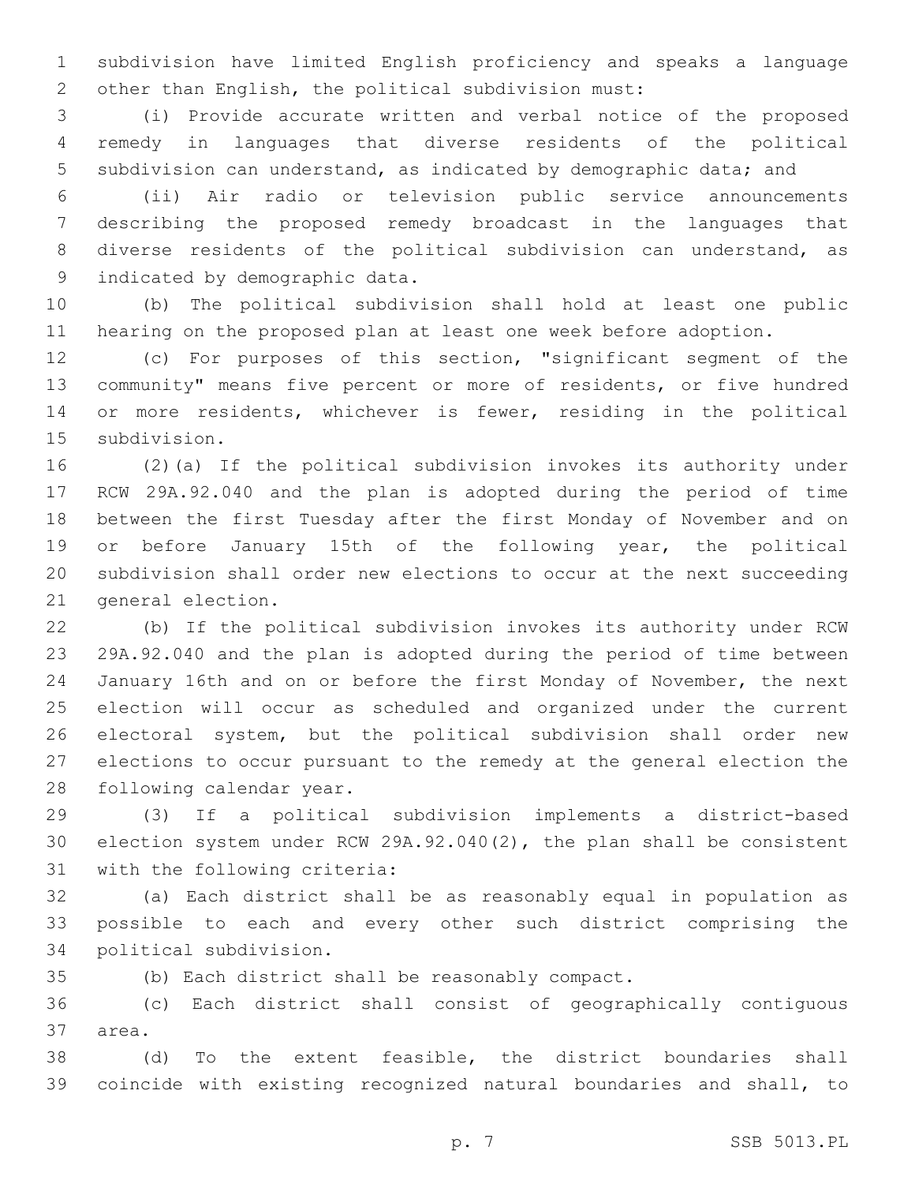subdivision have limited English proficiency and speaks a language other than English, the political subdivision must:

 (i) Provide accurate written and verbal notice of the proposed remedy in languages that diverse residents of the political subdivision can understand, as indicated by demographic data; and

 (ii) Air radio or television public service announcements describing the proposed remedy broadcast in the languages that diverse residents of the political subdivision can understand, as 9 indicated by demographic data.

 (b) The political subdivision shall hold at least one public hearing on the proposed plan at least one week before adoption.

 (c) For purposes of this section, "significant segment of the community" means five percent or more of residents, or five hundred or more residents, whichever is fewer, residing in the political 15 subdivision.

 (2)(a) If the political subdivision invokes its authority under RCW 29A.92.040 and the plan is adopted during the period of time between the first Tuesday after the first Monday of November and on or before January 15th of the following year, the political subdivision shall order new elections to occur at the next succeeding 21 general election.

 (b) If the political subdivision invokes its authority under RCW 29A.92.040 and the plan is adopted during the period of time between January 16th and on or before the first Monday of November, the next election will occur as scheduled and organized under the current electoral system, but the political subdivision shall order new elections to occur pursuant to the remedy at the general election the 28 following calendar year.

 (3) If a political subdivision implements a district-based election system under RCW 29A.92.040(2), the plan shall be consistent 31 with the following criteria:

 (a) Each district shall be as reasonably equal in population as possible to each and every other such district comprising the 34 political subdivision.

(b) Each district shall be reasonably compact.

 (c) Each district shall consist of geographically contiguous 37 area.

 (d) To the extent feasible, the district boundaries shall coincide with existing recognized natural boundaries and shall, to